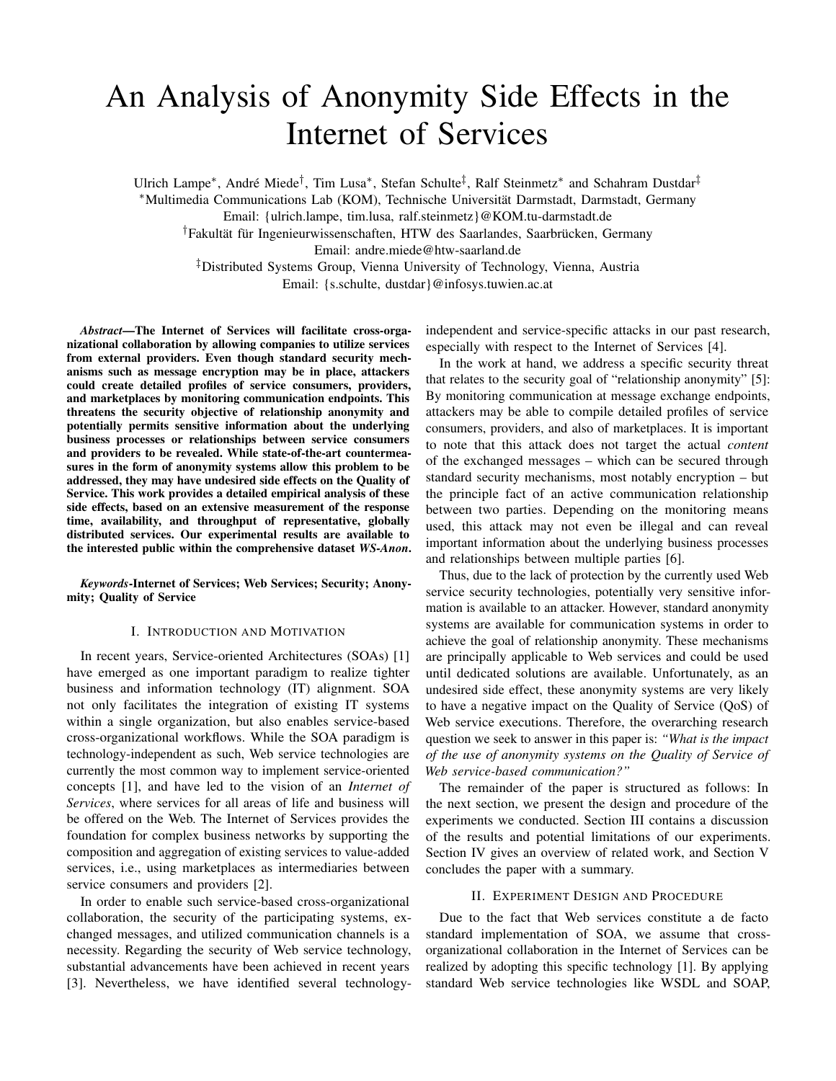# An Analysis of Anonymity Side Effects in the Internet of Services

Ulrich Lampe<sup>∗</sup>, André Miede<sup>†</sup>, Tim Lusa<sup>∗</sup>, Stefan Schulte<sup>‡</sup>, Ralf Steinmetz<sup>∗</sup> and Schahram Dustdar<sup>‡</sup> <sup>∗</sup>Multimedia Communications Lab (KOM), Technische Universität Darmstadt, Darmstadt, Germany Email: {ulrich.lampe, tim.lusa, ralf.steinmetz}@KOM.tu-darmstadt.de †Fakultät für Ingenieurwissenschaften, HTW des Saarlandes, Saarbrücken, Germany Email: andre.miede@htw-saarland.de ‡Distributed Systems Group, Vienna University of Technology, Vienna, Austria Email: {s.schulte, dustdar}@infosys.tuwien.ac.at

*Abstract*—The Internet of Services will facilitate cross-organizational collaboration by allowing companies to utilize services from external providers. Even though standard security mechanisms such as message encryption may be in place, attackers could create detailed profiles of service consumers, providers, and marketplaces by monitoring communication endpoints. This threatens the security objective of relationship anonymity and potentially permits sensitive information about the underlying business processes or relationships between service consumers and providers to be revealed. While state-of-the-art countermeasures in the form of anonymity systems allow this problem to be addressed, they may have undesired side effects on the Quality of Service. This work provides a detailed empirical analysis of these side effects, based on an extensive measurement of the response time, availability, and throughput of representative, globally distributed services. Our experimental results are available to the interested public within the comprehensive dataset *WS-Anon*.

*Keywords*-Internet of Services; Web Services; Security; Anonymity; Quality of Service

## I. INTRODUCTION AND MOTIVATION

In recent years, Service-oriented Architectures (SOAs) [1] have emerged as one important paradigm to realize tighter business and information technology (IT) alignment. SOA not only facilitates the integration of existing IT systems within a single organization, but also enables service-based cross-organizational workflows. While the SOA paradigm is technology-independent as such, Web service technologies are currently the most common way to implement service-oriented concepts [1], and have led to the vision of an *Internet of Services*, where services for all areas of life and business will be offered on the Web. The Internet of Services provides the foundation for complex business networks by supporting the composition and aggregation of existing services to value-added services, i.e., using marketplaces as intermediaries between service consumers and providers [2].

In order to enable such service-based cross-organizational collaboration, the security of the participating systems, exchanged messages, and utilized communication channels is a necessity. Regarding the security of Web service technology, substantial advancements have been achieved in recent years [3]. Nevertheless, we have identified several technologyindependent and service-specific attacks in our past research, especially with respect to the Internet of Services [4].

In the work at hand, we address a specific security threat that relates to the security goal of "relationship anonymity" [5]: By monitoring communication at message exchange endpoints, attackers may be able to compile detailed profiles of service consumers, providers, and also of marketplaces. It is important to note that this attack does not target the actual *content* of the exchanged messages – which can be secured through standard security mechanisms, most notably encryption – but the principle fact of an active communication relationship between two parties. Depending on the monitoring means used, this attack may not even be illegal and can reveal important information about the underlying business processes and relationships between multiple parties [6].

Thus, due to the lack of protection by the currently used Web service security technologies, potentially very sensitive information is available to an attacker. However, standard anonymity systems are available for communication systems in order to achieve the goal of relationship anonymity. These mechanisms are principally applicable to Web services and could be used until dedicated solutions are available. Unfortunately, as an undesired side effect, these anonymity systems are very likely to have a negative impact on the Quality of Service (QoS) of Web service executions. Therefore, the overarching research question we seek to answer in this paper is: *"What is the impact of the use of anonymity systems on the Quality of Service of Web service-based communication?"*

The remainder of the paper is structured as follows: In the next section, we present the design and procedure of the experiments we conducted. Section III contains a discussion of the results and potential limitations of our experiments. Section IV gives an overview of related work, and Section V concludes the paper with a summary.

#### II. EXPERIMENT DESIGN AND PROCEDURE

Due to the fact that Web services constitute a de facto standard implementation of SOA, we assume that crossorganizational collaboration in the Internet of Services can be realized by adopting this specific technology [1]. By applying standard Web service technologies like WSDL and SOAP,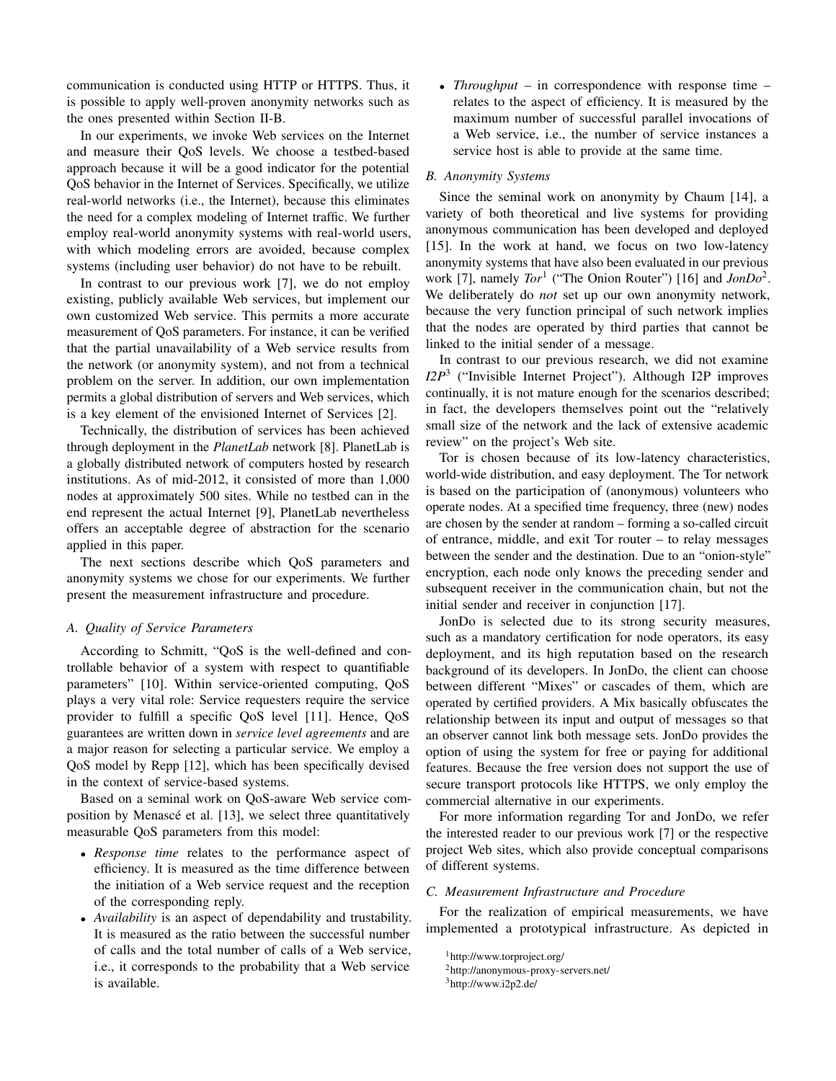communication is conducted using HTTP or HTTPS. Thus, it is possible to apply well-proven anonymity networks such as the ones presented within Section II-B.

In our experiments, we invoke Web services on the Internet and measure their QoS levels. We choose a testbed-based approach because it will be a good indicator for the potential QoS behavior in the Internet of Services. Specifically, we utilize real-world networks (i.e., the Internet), because this eliminates the need for a complex modeling of Internet traffic. We further employ real-world anonymity systems with real-world users, with which modeling errors are avoided, because complex systems (including user behavior) do not have to be rebuilt.

In contrast to our previous work [7], we do not employ existing, publicly available Web services, but implement our own customized Web service. This permits a more accurate measurement of QoS parameters. For instance, it can be verified that the partial unavailability of a Web service results from the network (or anonymity system), and not from a technical problem on the server. In addition, our own implementation permits a global distribution of servers and Web services, which is a key element of the envisioned Internet of Services [2].

Technically, the distribution of services has been achieved through deployment in the *PlanetLab* network [8]. PlanetLab is a globally distributed network of computers hosted by research institutions. As of mid-2012, it consisted of more than 1,000 nodes at approximately 500 sites. While no testbed can in the end represent the actual Internet [9], PlanetLab nevertheless offers an acceptable degree of abstraction for the scenario applied in this paper.

The next sections describe which QoS parameters and anonymity systems we chose for our experiments. We further present the measurement infrastructure and procedure.

## *A. Quality of Service Parameters*

According to Schmitt, "QoS is the well-defined and controllable behavior of a system with respect to quantifiable parameters" [10]. Within service-oriented computing, QoS plays a very vital role: Service requesters require the service provider to fulfill a specific QoS level [11]. Hence, QoS guarantees are written down in *service level agreements* and are a major reason for selecting a particular service. We employ a QoS model by Repp [12], which has been specifically devised in the context of service-based systems.

Based on a seminal work on QoS-aware Web service composition by Menascé et al. [13], we select three quantitatively measurable QoS parameters from this model:

- *Response time* relates to the performance aspect of efficiency. It is measured as the time difference between the initiation of a Web service request and the reception of the corresponding reply.
- *Availability* is an aspect of dependability and trustability. It is measured as the ratio between the successful number of calls and the total number of calls of a Web service, i.e., it corresponds to the probability that a Web service is available.

• *Throughput* – in correspondence with response time – relates to the aspect of efficiency. It is measured by the maximum number of successful parallel invocations of a Web service, i.e., the number of service instances a service host is able to provide at the same time.

#### *B. Anonymity Systems*

Since the seminal work on anonymity by Chaum [14], a variety of both theoretical and live systems for providing anonymous communication has been developed and deployed [15]. In the work at hand, we focus on two low-latency anonymity systems that have also been evaluated in our previous work [7], namely *Tor*<sup>1</sup> ("The Onion Router") [16] and *JonDo*<sup>2</sup>. We deliberately do *not* set up our own anonymity network, because the very function principal of such network implies that the nodes are operated by third parties that cannot be linked to the initial sender of a message.

In contrast to our previous research, we did not examine *I2P*<sup>3</sup> ("Invisible Internet Project"). Although I2P improves continually, it is not mature enough for the scenarios described; in fact, the developers themselves point out the "relatively small size of the network and the lack of extensive academic review" on the project's Web site.

Tor is chosen because of its low-latency characteristics, world-wide distribution, and easy deployment. The Tor network is based on the participation of (anonymous) volunteers who operate nodes. At a specified time frequency, three (new) nodes are chosen by the sender at random – forming a so-called circuit of entrance, middle, and exit Tor router – to relay messages between the sender and the destination. Due to an "onion-style" encryption, each node only knows the preceding sender and subsequent receiver in the communication chain, but not the initial sender and receiver in conjunction [17].

JonDo is selected due to its strong security measures, such as a mandatory certification for node operators, its easy deployment, and its high reputation based on the research background of its developers. In JonDo, the client can choose between different "Mixes" or cascades of them, which are operated by certified providers. A Mix basically obfuscates the relationship between its input and output of messages so that an observer cannot link both message sets. JonDo provides the option of using the system for free or paying for additional features. Because the free version does not support the use of secure transport protocols like HTTPS, we only employ the commercial alternative in our experiments.

For more information regarding Tor and JonDo, we refer the interested reader to our previous work [7] or the respective project Web sites, which also provide conceptual comparisons of different systems.

# *C. Measurement Infrastructure and Procedure*

For the realization of empirical measurements, we have implemented a prototypical infrastructure. As depicted in

<sup>1</sup>http://www.torproject.org/

<sup>2</sup>http://anonymous-proxy-servers.net/

<sup>3</sup>http://www.i2p2.de/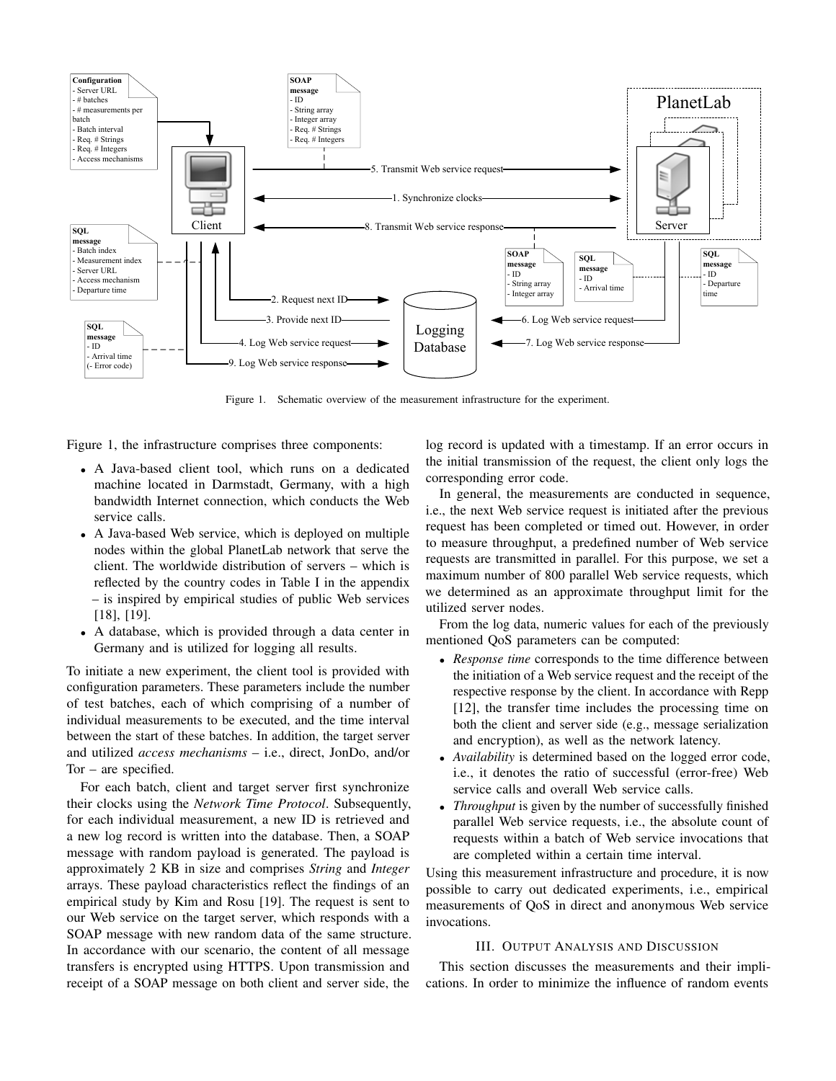

Figure 1. Schematic overview of the measurement infrastructure for the experiment.

Figure 1, the infrastructure comprises three components:

- A Java-based client tool, which runs on a dedicated machine located in Darmstadt, Germany, with a high bandwidth Internet connection, which conducts the Web service calls.
- A Java-based Web service, which is deployed on multiple nodes within the global PlanetLab network that serve the client. The worldwide distribution of servers – which is reflected by the country codes in Table I in the appendix – is inspired by empirical studies of public Web services [18], [19].
- A database, which is provided through a data center in Germany and is utilized for logging all results.

To initiate a new experiment, the client tool is provided with configuration parameters. These parameters include the number of test batches, each of which comprising of a number of individual measurements to be executed, and the time interval between the start of these batches. In addition, the target server and utilized *access mechanisms* – i.e., direct, JonDo, and/or Tor – are specified.

For each batch, client and target server first synchronize their clocks using the *Network Time Protocol*. Subsequently, for each individual measurement, a new ID is retrieved and a new log record is written into the database. Then, a SOAP message with random payload is generated. The payload is approximately 2 KB in size and comprises *String* and *Integer* arrays. These payload characteristics reflect the findings of an empirical study by Kim and Rosu [19]. The request is sent to our Web service on the target server, which responds with a SOAP message with new random data of the same structure. In accordance with our scenario, the content of all message transfers is encrypted using HTTPS. Upon transmission and receipt of a SOAP message on both client and server side, the

log record is updated with a timestamp. If an error occurs in the initial transmission of the request, the client only logs the corresponding error code.

In general, the measurements are conducted in sequence, i.e., the next Web service request is initiated after the previous request has been completed or timed out. However, in order to measure throughput, a predefined number of Web service requests are transmitted in parallel. For this purpose, we set a maximum number of 800 parallel Web service requests, which we determined as an approximate throughput limit for the utilized server nodes.

From the log data, numeric values for each of the previously mentioned QoS parameters can be computed:

- *Response time* corresponds to the time difference between the initiation of a Web service request and the receipt of the respective response by the client. In accordance with Repp [12], the transfer time includes the processing time on both the client and server side (e.g., message serialization and encryption), as well as the network latency.
- *Availability* is determined based on the logged error code, i.e., it denotes the ratio of successful (error-free) Web service calls and overall Web service calls.
- *Throughput* is given by the number of successfully finished parallel Web service requests, i.e., the absolute count of requests within a batch of Web service invocations that are completed within a certain time interval.

Using this measurement infrastructure and procedure, it is now possible to carry out dedicated experiments, i.e., empirical measurements of QoS in direct and anonymous Web service invocations.

### III. OUTPUT ANALYSIS AND DISCUSSION

This section discusses the measurements and their implications. In order to minimize the influence of random events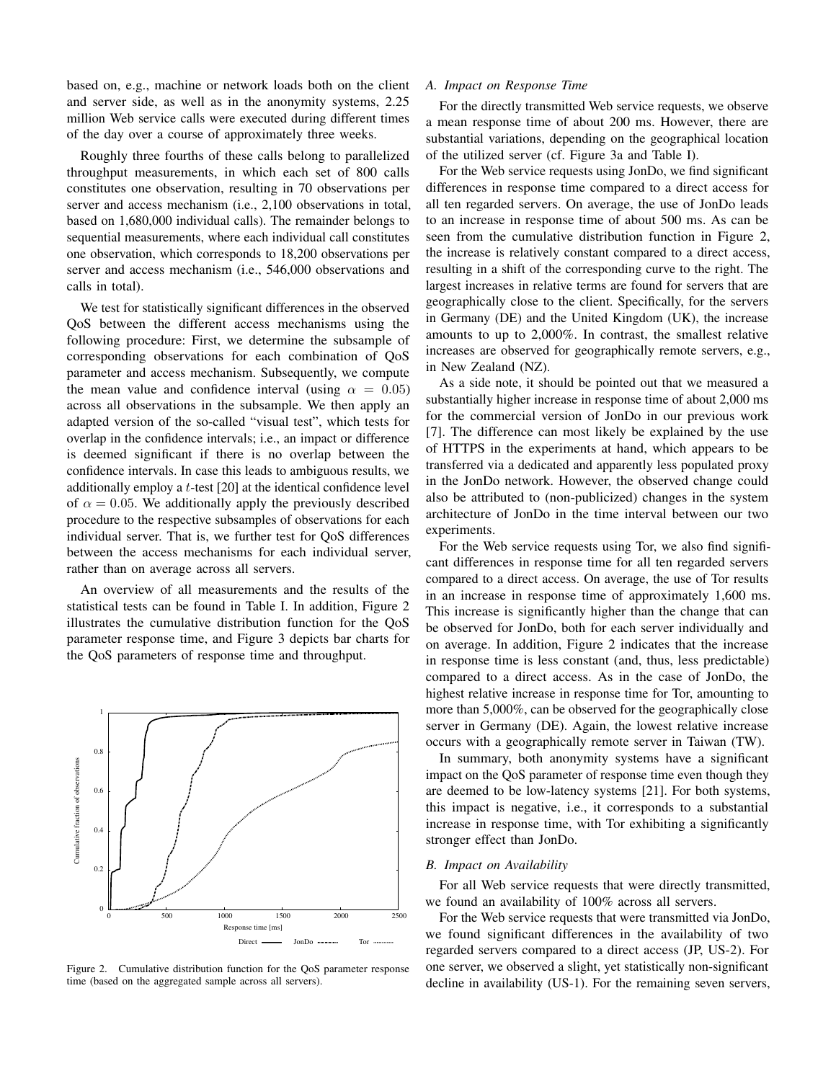based on, e.g., machine or network loads both on the client and server side, as well as in the anonymity systems, 2.25 million Web service calls were executed during different times of the day over a course of approximately three weeks.

Roughly three fourths of these calls belong to parallelized throughput measurements, in which each set of 800 calls constitutes one observation, resulting in 70 observations per server and access mechanism (i.e., 2,100 observations in total, based on 1,680,000 individual calls). The remainder belongs to sequential measurements, where each individual call constitutes one observation, which corresponds to 18,200 observations per server and access mechanism (i.e., 546,000 observations and calls in total).

We test for statistically significant differences in the observed QoS between the different access mechanisms using the following procedure: First, we determine the subsample of corresponding observations for each combination of QoS parameter and access mechanism. Subsequently, we compute the mean value and confidence interval (using  $\alpha = 0.05$ ) across all observations in the subsample. We then apply an adapted version of the so-called "visual test", which tests for overlap in the confidence intervals; i.e., an impact or difference is deemed significant if there is no overlap between the confidence intervals. In case this leads to ambiguous results, we additionally employ a  $t$ -test [20] at the identical confidence level of  $\alpha = 0.05$ . We additionally apply the previously described procedure to the respective subsamples of observations for each individual server. That is, we further test for QoS differences between the access mechanisms for each individual server, rather than on average across all servers.

An overview of all measurements and the results of the statistical tests can be found in Table I. In addition, Figure 2 illustrates the cumulative distribution function for the QoS parameter response time, and Figure 3 depicts bar charts for the QoS parameters of response time and throughput.



Figure 2. Cumulative distribution function for the QoS parameter response time (based on the aggregated sample across all servers).

#### *A. Impact on Response Time*

For the directly transmitted Web service requests, we observe a mean response time of about 200 ms. However, there are substantial variations, depending on the geographical location of the utilized server (cf. Figure 3a and Table I).

For the Web service requests using JonDo, we find significant differences in response time compared to a direct access for all ten regarded servers. On average, the use of JonDo leads to an increase in response time of about 500 ms. As can be seen from the cumulative distribution function in Figure 2, the increase is relatively constant compared to a direct access, resulting in a shift of the corresponding curve to the right. The largest increases in relative terms are found for servers that are geographically close to the client. Specifically, for the servers in Germany (DE) and the United Kingdom (UK), the increase amounts to up to 2,000%. In contrast, the smallest relative increases are observed for geographically remote servers, e.g., in New Zealand (NZ).

As a side note, it should be pointed out that we measured a substantially higher increase in response time of about 2,000 ms for the commercial version of JonDo in our previous work [7]. The difference can most likely be explained by the use of HTTPS in the experiments at hand, which appears to be transferred via a dedicated and apparently less populated proxy in the JonDo network. However, the observed change could also be attributed to (non-publicized) changes in the system architecture of JonDo in the time interval between our two experiments.

For the Web service requests using Tor, we also find significant differences in response time for all ten regarded servers compared to a direct access. On average, the use of Tor results in an increase in response time of approximately 1,600 ms. This increase is significantly higher than the change that can be observed for JonDo, both for each server individually and on average. In addition, Figure 2 indicates that the increase in response time is less constant (and, thus, less predictable) compared to a direct access. As in the case of JonDo, the highest relative increase in response time for Tor, amounting to more than 5,000%, can be observed for the geographically close server in Germany (DE). Again, the lowest relative increase occurs with a geographically remote server in Taiwan (TW).

In summary, both anonymity systems have a significant impact on the QoS parameter of response time even though they are deemed to be low-latency systems [21]. For both systems, this impact is negative, i.e., it corresponds to a substantial increase in response time, with Tor exhibiting a significantly stronger effect than JonDo.

## *B. Impact on Availability*

For all Web service requests that were directly transmitted, we found an availability of 100% across all servers.

For the Web service requests that were transmitted via JonDo, we found significant differences in the availability of two regarded servers compared to a direct access (JP, US-2). For one server, we observed a slight, yet statistically non-significant decline in availability (US-1). For the remaining seven servers,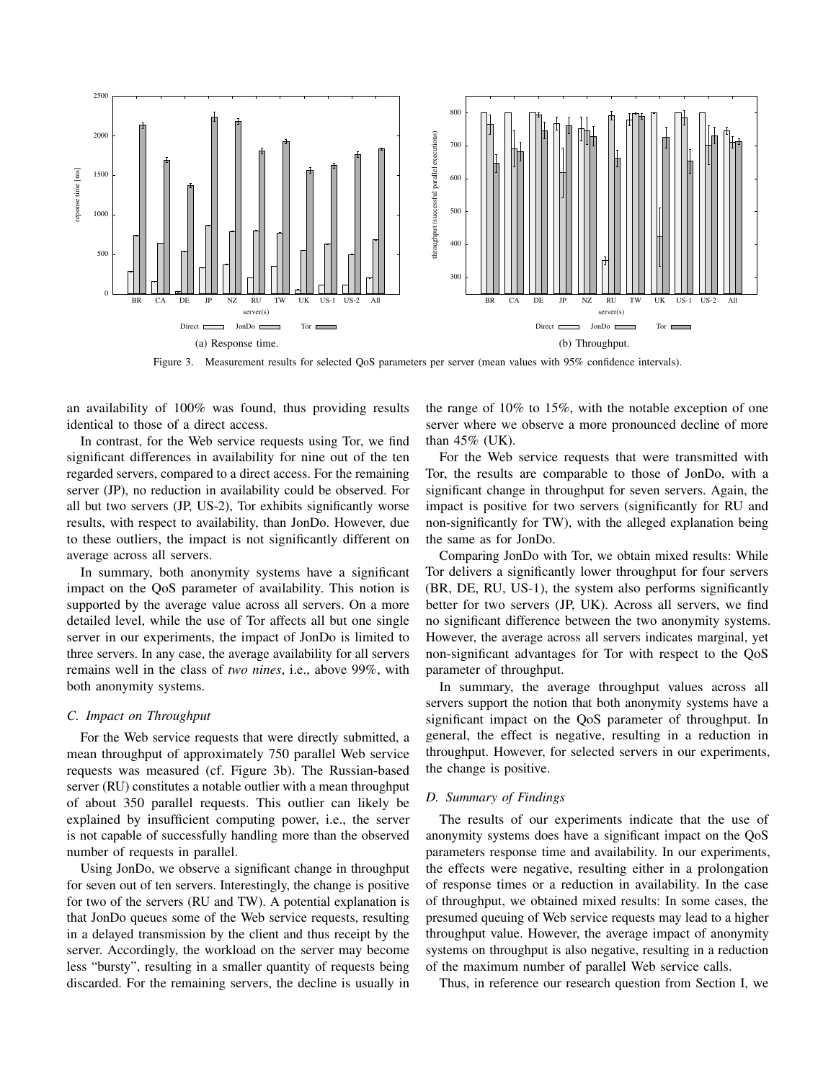

Figure 3. Measurement results for selected QoS parameters per server (mean values with 95% confidence intervals).

an availability of 100% was found, thus providing results identical to those of a direct access.

In contrast, for the Web service requests using Tor, we find significant differences in availability for nine out of the ten regarded servers, compared to a direct access. For the remaining server (JP), no reduction in availability could be observed. For all but two servers (JP, US-2), Tor exhibits significantly worse results, with respect to availability, than JonDo. However, due to these outliers, the impact is not significantly different on average across all servers.

In summary, both anonymity systems have a significant impact on the QoS parameter of availability. This notion is supported by the average value across all servers. On a more detailed level, while the use of Tor affects all but one single server in our experiments, the impact of JonDo is limited to three servers. In any case, the average availability for all servers remains well in the class of *two nines*, i.e., above 99%, with both anonymity systems.

#### *C. Impact on Throughput*

For the Web service requests that were directly submitted, a mean throughput of approximately 750 parallel Web service requests was measured (cf. Figure 3b). The Russian-based server (RU) constitutes a notable outlier with a mean throughput of about 350 parallel requests. This outlier can likely be explained by insufficient computing power, i.e., the server is not capable of successfully handling more than the observed number of requests in parallel.

Using JonDo, we observe a significant change in throughput for seven out of ten servers. Interestingly, the change is positive for two of the servers (RU and TW). A potential explanation is that JonDo queues some of the Web service requests, resulting in a delayed transmission by the client and thus receipt by the server. Accordingly, the workload on the server may become less "bursty", resulting in a smaller quantity of requests being discarded. For the remaining servers, the decline is usually in the range of 10% to 15%, with the notable exception of one server where we observe a more pronounced decline of more than 45% (UK).

For the Web service requests that were transmitted with Tor, the results are comparable to those of JonDo, with a significant change in throughput for seven servers. Again, the impact is positive for two servers (significantly for RU and non-significantly for TW), with the alleged explanation being the same as for JonDo.

Comparing JonDo with Tor, we obtain mixed results: While Tor delivers a significantly lower throughput for four servers (BR, DE, RU, US-1), the system also performs significantly better for two servers (JP, UK). Across all servers, we find no significant difference between the two anonymity systems. However, the average across all servers indicates marginal, yet non-significant advantages for Tor with respect to the QoS parameter of throughput.

In summary, the average throughput values across all servers support the notion that both anonymity systems have a significant impact on the QoS parameter of throughput. In general, the effect is negative, resulting in a reduction in throughput. However, for selected servers in our experiments, the change is positive.

# *D. Summary of Findings*

The results of our experiments indicate that the use of anonymity systems does have a significant impact on the QoS parameters response time and availability. In our experiments, the effects were negative, resulting either in a prolongation of response times or a reduction in availability. In the case of throughput, we obtained mixed results: In some cases, the presumed queuing of Web service requests may lead to a higher throughput value. However, the average impact of anonymity systems on throughput is also negative, resulting in a reduction of the maximum number of parallel Web service calls.

Thus, in reference our research question from Section I, we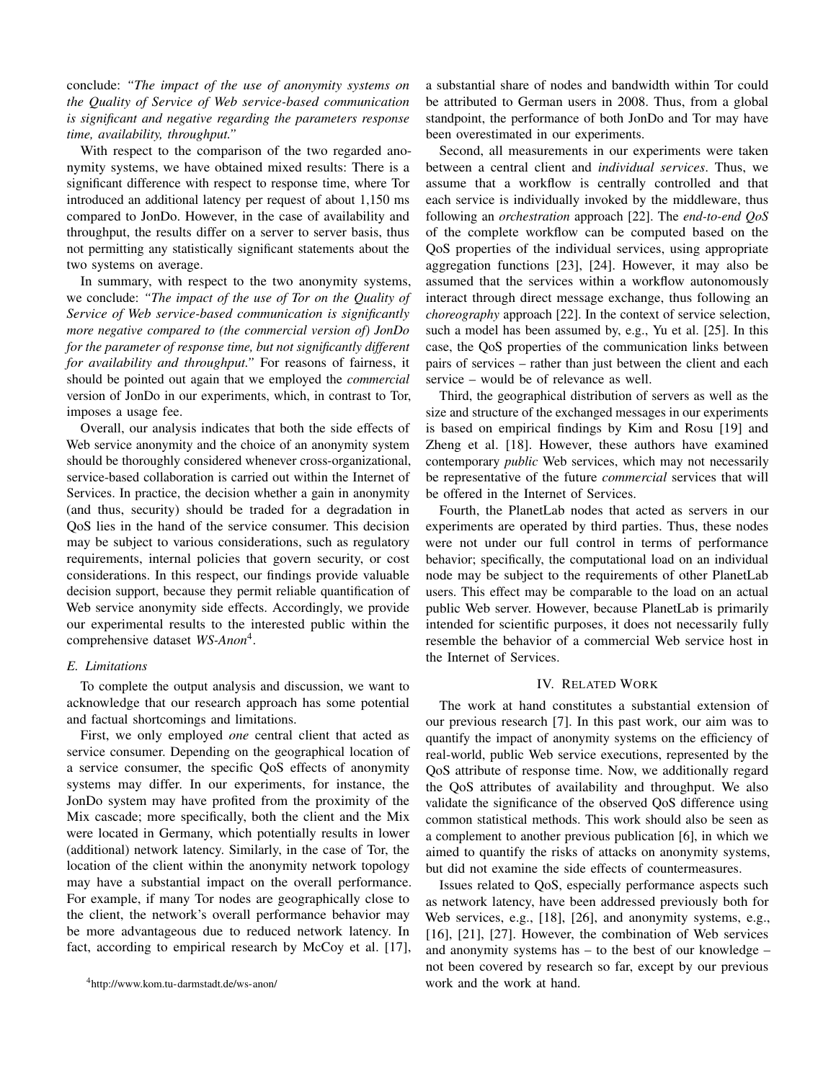conclude: *"The impact of the use of anonymity systems on the Quality of Service of Web service-based communication is significant and negative regarding the parameters response time, availability, throughput."*

With respect to the comparison of the two regarded anonymity systems, we have obtained mixed results: There is a significant difference with respect to response time, where Tor introduced an additional latency per request of about 1,150 ms compared to JonDo. However, in the case of availability and throughput, the results differ on a server to server basis, thus not permitting any statistically significant statements about the two systems on average.

In summary, with respect to the two anonymity systems, we conclude: *"The impact of the use of Tor on the Quality of Service of Web service-based communication is significantly more negative compared to (the commercial version of) JonDo for the parameter of response time, but not significantly different for availability and throughput."* For reasons of fairness, it should be pointed out again that we employed the *commercial* version of JonDo in our experiments, which, in contrast to Tor, imposes a usage fee.

Overall, our analysis indicates that both the side effects of Web service anonymity and the choice of an anonymity system should be thoroughly considered whenever cross-organizational, service-based collaboration is carried out within the Internet of Services. In practice, the decision whether a gain in anonymity (and thus, security) should be traded for a degradation in QoS lies in the hand of the service consumer. This decision may be subject to various considerations, such as regulatory requirements, internal policies that govern security, or cost considerations. In this respect, our findings provide valuable decision support, because they permit reliable quantification of Web service anonymity side effects. Accordingly, we provide our experimental results to the interested public within the comprehensive dataset *WS-Anon*<sup>4</sup> .

## *E. Limitations*

To complete the output analysis and discussion, we want to acknowledge that our research approach has some potential and factual shortcomings and limitations.

First, we only employed *one* central client that acted as service consumer. Depending on the geographical location of a service consumer, the specific QoS effects of anonymity systems may differ. In our experiments, for instance, the JonDo system may have profited from the proximity of the Mix cascade; more specifically, both the client and the Mix were located in Germany, which potentially results in lower (additional) network latency. Similarly, in the case of Tor, the location of the client within the anonymity network topology may have a substantial impact on the overall performance. For example, if many Tor nodes are geographically close to the client, the network's overall performance behavior may be more advantageous due to reduced network latency. In fact, according to empirical research by McCoy et al. [17], a substantial share of nodes and bandwidth within Tor could be attributed to German users in 2008. Thus, from a global standpoint, the performance of both JonDo and Tor may have been overestimated in our experiments.

Second, all measurements in our experiments were taken between a central client and *individual services*. Thus, we assume that a workflow is centrally controlled and that each service is individually invoked by the middleware, thus following an *orchestration* approach [22]. The *end-to-end QoS* of the complete workflow can be computed based on the QoS properties of the individual services, using appropriate aggregation functions [23], [24]. However, it may also be assumed that the services within a workflow autonomously interact through direct message exchange, thus following an *choreography* approach [22]. In the context of service selection, such a model has been assumed by, e.g., Yu et al. [25]. In this case, the QoS properties of the communication links between pairs of services – rather than just between the client and each service – would be of relevance as well.

Third, the geographical distribution of servers as well as the size and structure of the exchanged messages in our experiments is based on empirical findings by Kim and Rosu [19] and Zheng et al. [18]. However, these authors have examined contemporary *public* Web services, which may not necessarily be representative of the future *commercial* services that will be offered in the Internet of Services.

Fourth, the PlanetLab nodes that acted as servers in our experiments are operated by third parties. Thus, these nodes were not under our full control in terms of performance behavior; specifically, the computational load on an individual node may be subject to the requirements of other PlanetLab users. This effect may be comparable to the load on an actual public Web server. However, because PlanetLab is primarily intended for scientific purposes, it does not necessarily fully resemble the behavior of a commercial Web service host in the Internet of Services.

## IV. RELATED WORK

The work at hand constitutes a substantial extension of our previous research [7]. In this past work, our aim was to quantify the impact of anonymity systems on the efficiency of real-world, public Web service executions, represented by the QoS attribute of response time. Now, we additionally regard the QoS attributes of availability and throughput. We also validate the significance of the observed QoS difference using common statistical methods. This work should also be seen as a complement to another previous publication [6], in which we aimed to quantify the risks of attacks on anonymity systems, but did not examine the side effects of countermeasures.

Issues related to QoS, especially performance aspects such as network latency, have been addressed previously both for Web services, e.g., [18], [26], and anonymity systems, e.g., [16], [21], [27]. However, the combination of Web services and anonymity systems has – to the best of our knowledge – not been covered by research so far, except by our previous work and the work at hand.

<sup>4</sup>http://www.kom.tu-darmstadt.de/ws-anon/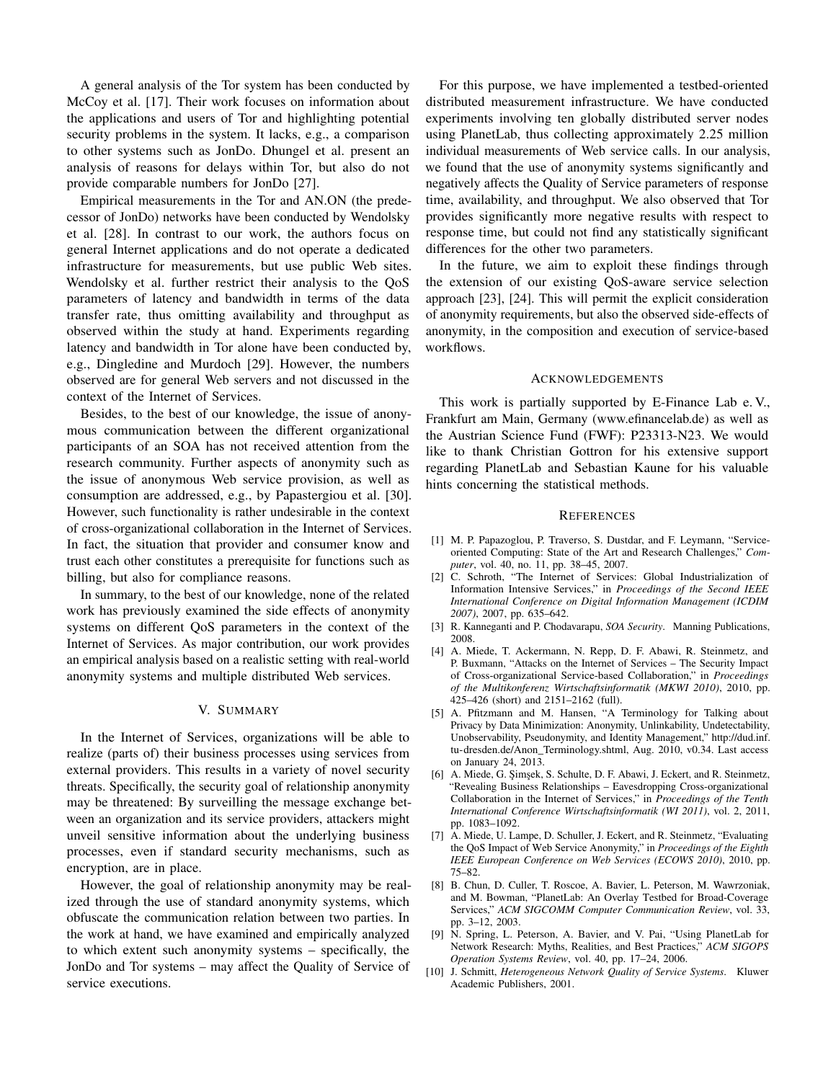A general analysis of the Tor system has been conducted by McCoy et al. [17]. Their work focuses on information about the applications and users of Tor and highlighting potential security problems in the system. It lacks, e.g., a comparison to other systems such as JonDo. Dhungel et al. present an analysis of reasons for delays within Tor, but also do not provide comparable numbers for JonDo [27].

Empirical measurements in the Tor and AN.ON (the predecessor of JonDo) networks have been conducted by Wendolsky et al. [28]. In contrast to our work, the authors focus on general Internet applications and do not operate a dedicated infrastructure for measurements, but use public Web sites. Wendolsky et al. further restrict their analysis to the QoS parameters of latency and bandwidth in terms of the data transfer rate, thus omitting availability and throughput as observed within the study at hand. Experiments regarding latency and bandwidth in Tor alone have been conducted by, e.g., Dingledine and Murdoch [29]. However, the numbers observed are for general Web servers and not discussed in the context of the Internet of Services.

Besides, to the best of our knowledge, the issue of anonymous communication between the different organizational participants of an SOA has not received attention from the research community. Further aspects of anonymity such as the issue of anonymous Web service provision, as well as consumption are addressed, e.g., by Papastergiou et al. [30]. However, such functionality is rather undesirable in the context of cross-organizational collaboration in the Internet of Services. In fact, the situation that provider and consumer know and trust each other constitutes a prerequisite for functions such as billing, but also for compliance reasons.

In summary, to the best of our knowledge, none of the related work has previously examined the side effects of anonymity systems on different QoS parameters in the context of the Internet of Services. As major contribution, our work provides an empirical analysis based on a realistic setting with real-world anonymity systems and multiple distributed Web services.

### V. SUMMARY

In the Internet of Services, organizations will be able to realize (parts of) their business processes using services from external providers. This results in a variety of novel security threats. Specifically, the security goal of relationship anonymity may be threatened: By surveilling the message exchange between an organization and its service providers, attackers might unveil sensitive information about the underlying business processes, even if standard security mechanisms, such as encryption, are in place.

However, the goal of relationship anonymity may be realized through the use of standard anonymity systems, which obfuscate the communication relation between two parties. In the work at hand, we have examined and empirically analyzed to which extent such anonymity systems – specifically, the JonDo and Tor systems – may affect the Quality of Service of service executions.

For this purpose, we have implemented a testbed-oriented distributed measurement infrastructure. We have conducted experiments involving ten globally distributed server nodes using PlanetLab, thus collecting approximately 2.25 million individual measurements of Web service calls. In our analysis, we found that the use of anonymity systems significantly and negatively affects the Quality of Service parameters of response time, availability, and throughput. We also observed that Tor provides significantly more negative results with respect to response time, but could not find any statistically significant differences for the other two parameters.

In the future, we aim to exploit these findings through the extension of our existing QoS-aware service selection approach [23], [24]. This will permit the explicit consideration of anonymity requirements, but also the observed side-effects of anonymity, in the composition and execution of service-based workflows.

#### ACKNOWLEDGEMENTS

This work is partially supported by E-Finance Lab e. V., Frankfurt am Main, Germany (www.efinancelab.de) as well as the Austrian Science Fund (FWF): P23313-N23. We would like to thank Christian Gottron for his extensive support regarding PlanetLab and Sebastian Kaune for his valuable hints concerning the statistical methods.

#### **REFERENCES**

- [1] M. P. Papazoglou, P. Traverso, S. Dustdar, and F. Leymann, "Serviceoriented Computing: State of the Art and Research Challenges," *Computer*, vol. 40, no. 11, pp. 38–45, 2007.
- [2] C. Schroth, "The Internet of Services: Global Industrialization of Information Intensive Services," in *Proceedings of the Second IEEE International Conference on Digital Information Management (ICDIM 2007)*, 2007, pp. 635–642.
- [3] R. Kanneganti and P. Chodavarapu, *SOA Security*. Manning Publications, 2008.
- [4] A. Miede, T. Ackermann, N. Repp, D. F. Abawi, R. Steinmetz, and P. Buxmann, "Attacks on the Internet of Services – The Security Impact of Cross-organizational Service-based Collaboration," in *Proceedings of the Multikonferenz Wirtschaftsinformatik (MKWI 2010)*, 2010, pp. 425–426 (short) and 2151–2162 (full).
- [5] A. Pfitzmann and M. Hansen, "A Terminology for Talking about Privacy by Data Minimization: Anonymity, Unlinkability, Undetectability, Unobservability, Pseudonymity, and Identity Management," http://dud.inf. tu-dresden.de/Anon\_Terminology.shtml, Aug. 2010, v0.34. Last access on January 24, 2013.
- [6] A. Miede, G. Şimşek, S. Schulte, D. F. Abawi, J. Eckert, and R. Steinmetz, "Revealing Business Relationships – Eavesdropping Cross-organizational Collaboration in the Internet of Services," in *Proceedings of the Tenth International Conference Wirtschaftsinformatik (WI 2011)*, vol. 2, 2011, pp. 1083–1092.
- [7] A. Miede, U. Lampe, D. Schuller, J. Eckert, and R. Steinmetz, "Evaluating the QoS Impact of Web Service Anonymity," in *Proceedings of the Eighth IEEE European Conference on Web Services (ECOWS 2010)*, 2010, pp. 75–82.
- [8] B. Chun, D. Culler, T. Roscoe, A. Bavier, L. Peterson, M. Wawrzoniak, and M. Bowman, "PlanetLab: An Overlay Testbed for Broad-Coverage Services," *ACM SIGCOMM Computer Communication Review*, vol. 33, pp. 3–12, 2003.
- [9] N. Spring, L. Peterson, A. Bavier, and V. Pai, "Using PlanetLab for Network Research: Myths, Realities, and Best Practices," *ACM SIGOPS Operation Systems Review*, vol. 40, pp. 17–24, 2006.
- [10] J. Schmitt, *Heterogeneous Network Quality of Service Systems*. Kluwer Academic Publishers, 2001.